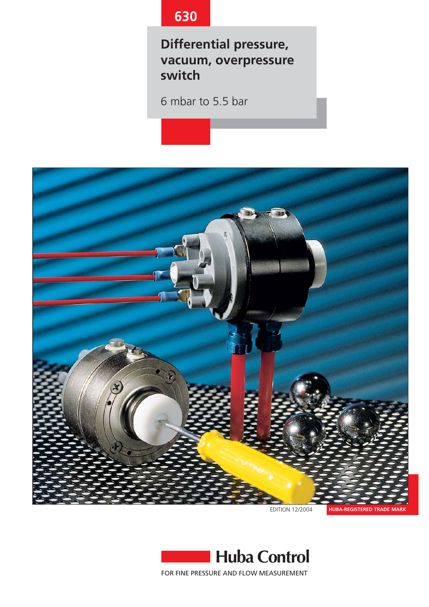# **630**

**Differential pressure, vacuum, overpressure switch**

6 mbar to 5.5 bar



EDITION 12/2004

**HUBA-REGISTERED TRADE MARK**

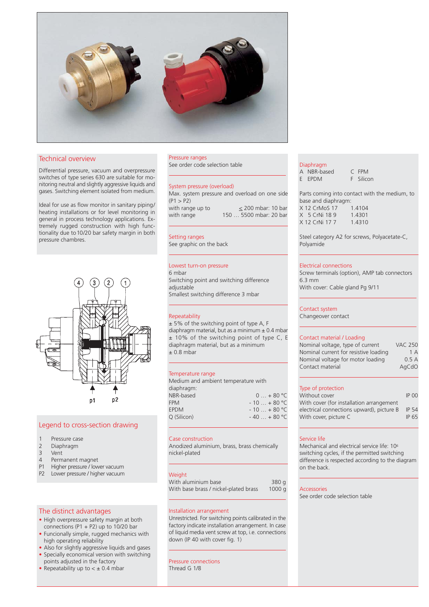

## Technical overview

Differential pressure, vacuum and overpressure switches of type series 630 are suitable for monitoring neutral and slightly aggressive liquids and gases. Switching element isolated from medium.

Ideal for use as flow monitor in sanitary piping/ heating installations or for level monitoring in general in process technology applications. Extremely rugged construction with high functionality due to10/20 bar safety margin in both pressure chambres.



## Legend to cross-section drawing

- 1 Pressure case<br>2 Diaphragm
- 2 Diaphragm<br>3 Vent
- Vent
- 4 Permanent magnet
- P1 Higher pressure / lower vacuum
- P2 Lower pressure / higher vacuum

## The distinct advantages

- High overpressure safety margin at both connections (P1 + P2) up to  $10/20$  bar
- Funcionally simple, rugged mechanics with high operating reliability
- Also for slightly aggressive liquids and gases
- Specially economical version with switching
- points adjusted in the factory
- Repeatability up to  $< \pm 0.4$  mbar

## Pressure ranges

See order code selection table

## System pressure (overload)

| Max. system pressure and overload on one side |                        |                      |
|-----------------------------------------------|------------------------|----------------------|
| (P1 > P2)                                     |                        |                      |
| with range up to                              |                        | $<$ 200 mbar: 10 bar |
| with range                                    | 150  5500 mbar: 20 bar |                      |
|                                               |                        |                      |

Setting ranges See graphic on the back

# Lowest turn-on pressure

6 mbar Switching point and switching difference adjustable Smallest switching difference 3 mbar

## Repeatability

± 5% of the switching point of type A, F diaphragm material, but as a minimum  $\pm$  0.4 mbar ± 10% of the switching point of type C, E diaphragm material, but as a minimum  $\pm$  0.8 mbar

## Temperature range

| Medium and ambient temperature with |               |
|-------------------------------------|---------------|
| diaphragm:                          |               |
| NBR-based                           | $0 + 80 °C$   |
| <b>FPM</b>                          | $-10 + 80 °C$ |
| <b>EPDM</b>                         | $-10 + 80 °C$ |
| Q (Silicon)                         | $-40+80 °C$   |
|                                     |               |

## Case construction

Anodized aluminium, brass, brass chemically nickel-plated

## **Weight**

| With aluminium base                   | 380 g |
|---------------------------------------|-------|
| With base brass / nickel-plated brass | 1000q |

## Installation arrangement

Unrestricted. For switching points calibrated in the factory indicate installation arrangement. In case of liquid media vent screw at top, i.e. connections down (IP 40 with cover fig. 1)

## Pressure connections Thread G 1/8

#### Diaphragm

| A NBR-based | C FPM     |
|-------------|-----------|
| E EPDM      | F Silicon |

Parts coming into contact with the medium, to base and diaphragm: X 12 CrMoS 17 1.4104<br>X 5 CrNi 18 9 1.4301 X 5 CrNi 18 9 X 12 CrNi 17 7 1.4310

Steel category A2 for screws, Polyacetate-C, Polyamide

#### Electrical connections

Screw terminals (option), AMP tab connectors 6.3 mm With cover: Cable gland Pg 9/11

## Contact system

Changeover contact

#### Contact material / Loading

| Nominal voltage, type of current      | <b>VAC 250</b> |
|---------------------------------------|----------------|
| Nominal current for resistive loading | 1 A            |
| Nominal voltage for motor loading     | 0.5A           |
| Contact material                      | AgCdO          |

## Type of protection

| Without cover                             | <b>IP 00</b> |
|-------------------------------------------|--------------|
| With cover (for installation arrangement  |              |
| electrical connections upward), picture B | IP 54        |
| With cover, picture C                     | IP 65        |
|                                           |              |

## Service life

Mechanical and electrical service life: 106 switching cycles, if the permitted switching difference is respected according to the diagram on the back.

#### Accessories

See order code selection table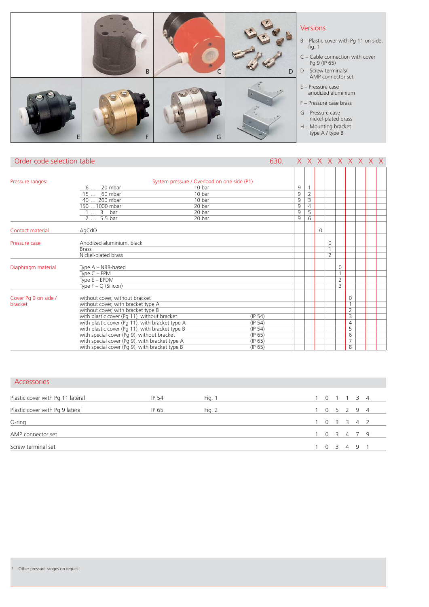| B |   | D | <b>Versions</b><br>B - Plastic cover with Pg 11 on side,<br>fig. 1<br>$C - C$ able connection with cover<br>Pg 9 (IP 65)<br>D - Screw terminals/<br>AMP connector set |
|---|---|---|-----------------------------------------------------------------------------------------------------------------------------------------------------------------------|
|   | G |   | $E -$ Pressure case<br>anodized aluminium<br>F - Pressure case brass<br>G - Pressure case<br>nickel-plated brass<br>H - Mounting bracket<br>type A / type B           |

J.

| Order code selection table   |                                                                     | 630. |                |                                |          |                |                |                | X X X X X X X X X |  |
|------------------------------|---------------------------------------------------------------------|------|----------------|--------------------------------|----------|----------------|----------------|----------------|-------------------|--|
|                              |                                                                     |      |                |                                |          |                |                |                |                   |  |
| Pressure ranges <sup>1</sup> | System pressure / Overload on one side (P1)<br>6  20 mbar<br>10 bar |      | 9              |                                |          |                |                |                |                   |  |
|                              | 10 bar<br>15  60 mbar                                               |      | 9              | $\mathbf{1}$<br>$\overline{2}$ |          |                |                |                |                   |  |
|                              | 10 bar<br>40  200 mbar                                              |      | $\overline{9}$ | $\overline{3}$                 |          |                |                |                |                   |  |
|                              | 150  1000 mbar<br>20 bar                                            |      | $\overline{9}$ | $\overline{4}$                 |          |                |                |                |                   |  |
|                              | 20 bar<br>$1 3$ bar                                                 |      | $\overline{9}$ | 5                              |          |                |                |                |                   |  |
|                              | 2  5.5 bar<br>20 bar                                                |      | $\overline{9}$ | $\overline{6}$                 |          |                |                |                |                   |  |
| Contact material             | AgCdO                                                               |      |                |                                | $\Omega$ |                |                |                |                   |  |
|                              |                                                                     |      |                |                                |          |                |                |                |                   |  |
| Pressure case                | Anodized aluminium, black                                           |      |                |                                |          | $\Omega$       |                |                |                   |  |
|                              | <b>Brass</b>                                                        |      |                |                                |          | 1              |                |                |                   |  |
|                              | Nickel-plated brass                                                 |      |                |                                |          | $\overline{2}$ |                |                |                   |  |
| Diaphragm material           | Type $A - NBR$ -based                                               |      |                |                                |          |                | 0              |                |                   |  |
|                              | Type $C$ – FPM                                                      |      |                |                                |          |                |                |                |                   |  |
|                              | Type $E - EPDM$                                                     |      |                |                                |          |                | $\overline{2}$ |                |                   |  |
|                              | Type $F - Q$ (Silicon)                                              |      |                |                                |          |                | 3              |                |                   |  |
| Cover Pg 9 on side /         | without cover, without bracket                                      |      |                |                                |          |                |                | $\Omega$       |                   |  |
| bracket                      | without cover, with bracket type A                                  |      |                |                                |          |                |                | 1              |                   |  |
|                              | without cover, with bracket type B                                  |      |                |                                |          |                |                | $\overline{2}$ |                   |  |
|                              | with plastic cover (Pg 11), without bracket<br>(IP 54)              |      |                |                                |          |                |                | 3              |                   |  |
|                              | with plastic cover (Pg 11), with bracket type A<br>(IP 54)          |      |                |                                |          |                |                | $\overline{4}$ |                   |  |
|                              | with plastic cover (Pg 11), with bracket type B<br>(IP 54)          |      |                |                                |          |                |                | 5              |                   |  |
|                              | with special cover (Pg 9), without bracket<br>(IP 65)               |      |                |                                |          |                |                | 6              |                   |  |
|                              | with special cover (Pg 9), with bracket type A<br>(IP 65)           |      |                |                                |          |                |                | 7              |                   |  |
|                              | with special cover (Pg 9), with bracket type B<br>(IP 65)           |      |                |                                |          |                |                | 8              |                   |  |

|  | <b>Accessories</b> |  |  |
|--|--------------------|--|--|
|  |                    |  |  |
|  |                    |  |  |

| Plastic cover with Pg 11 lateral | IP 54 | Fig. 1 | 1 0 1 1 3 4 |  |  |
|----------------------------------|-------|--------|-------------|--|--|
|                                  |       |        |             |  |  |
| Plastic cover with Pg 9 lateral  | IP 65 | Fig. 2 | 1 0 5 2 9 4 |  |  |
| O-ring                           |       |        | 1 0 3 3 4 2 |  |  |
| AMP connector set                |       |        | 0 3 4 7 9   |  |  |
| Screw terminal set               |       |        | 0 3 4 9 1   |  |  |